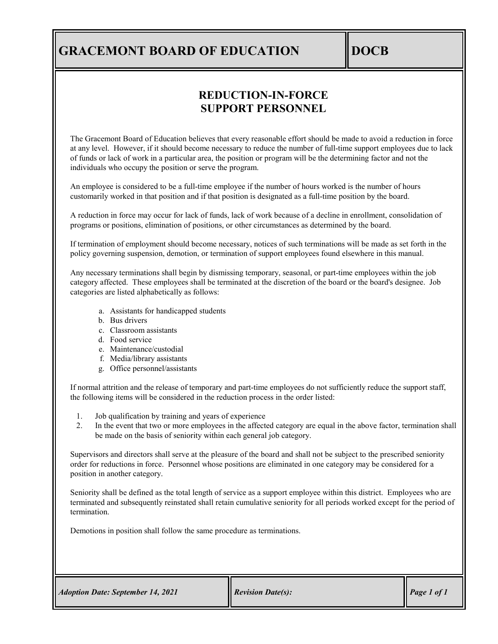## **GRACEMONT BOARD OF EDUCATION DOCB**

## **REDUCTION-IN-FORCE SUPPORT PERSONNEL**

The Gracemont Board of Education believes that every reasonable effort should be made to avoid a reduction in force at any level. However, if it should become necessary to reduce the number of full-time support employees due to lack of funds or lack of work in a particular area, the position or program will be the determining factor and not the individuals who occupy the position or serve the program.

An employee is considered to be a full-time employee if the number of hours worked is the number of hours customarily worked in that position and if that position is designated as a full-time position by the board.

A reduction in force may occur for lack of funds, lack of work because of a decline in enrollment, consolidation of programs or positions, elimination of positions, or other circumstances as determined by the board.

If termination of employment should become necessary, notices of such terminations will be made as set forth in the policy governing suspension, demotion, or termination of support employees found elsewhere in this manual.

Any necessary terminations shall begin by dismissing temporary, seasonal, or part-time employees within the job category affected. These employees shall be terminated at the discretion of the board or the board's designee. Job categories are listed alphabetically as follows:

- a. Assistants for handicapped students
- b. Bus drivers
- c. Classroom assistants
- d. Food service
- e. Maintenance/custodial
- f. Media/library assistants
- g. Office personnel/assistants

If normal attrition and the release of temporary and part-time employees do not sufficiently reduce the support staff, the following items will be considered in the reduction process in the order listed:

- 1. Job qualification by training and years of experience
- 2. In the event that two or more employees in the affected category are equal in the above factor, termination shall be made on the basis of seniority within each general job category.

Supervisors and directors shall serve at the pleasure of the board and shall not be subject to the prescribed seniority order for reductions in force. Personnel whose positions are eliminated in one category may be considered for a position in another category.

Seniority shall be defined as the total length of service as a support employee within this district. Employees who are terminated and subsequently reinstated shall retain cumulative seniority for all periods worked except for the period of termination.

Demotions in position shall follow the same procedure as terminations.